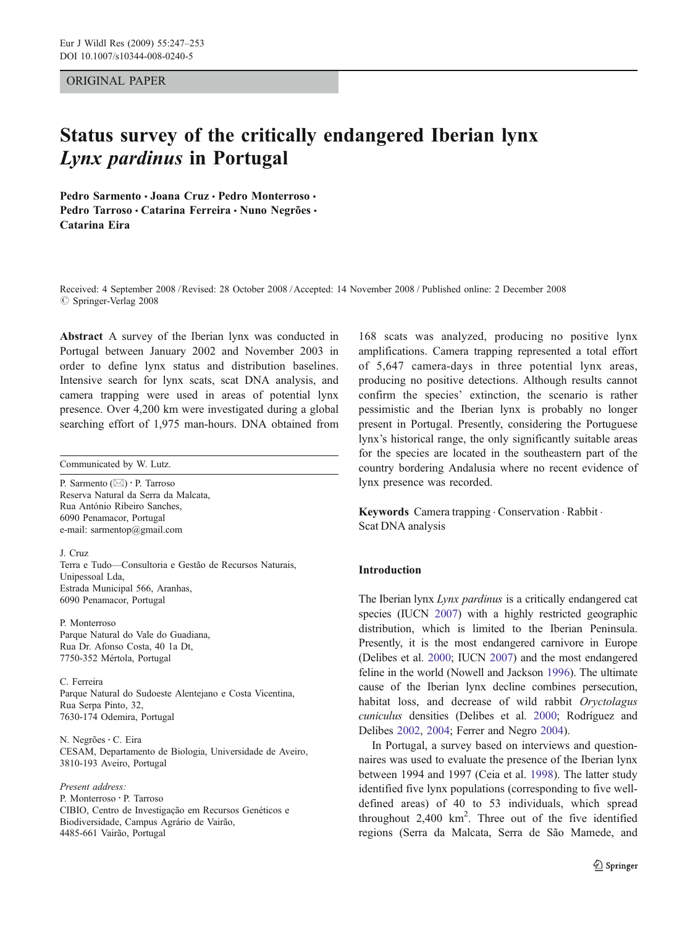## ORIGINAL PAPER

# Status survey of the critically endangered Iberian lynx Lynx pardinus in Portugal

Pedro Sarmento · Joana Cruz · Pedro Monterroso · Pedro Tarroso · Catarina Ferreira · Nuno Negrões · Catarina Eira

Received: 4 September 2008 /Revised: 28 October 2008 /Accepted: 14 November 2008 / Published online: 2 December 2008  $\oslash$  Springer-Verlag 2008

Abstract A survey of the Iberian lynx was conducted in Portugal between January 2002 and November 2003 in order to define lynx status and distribution baselines. Intensive search for lynx scats, scat DNA analysis, and camera trapping were used in areas of potential lynx presence. Over 4,200 km were investigated during a global searching effort of 1,975 man-hours. DNA obtained from

Communicated by W. Lutz.

P. Sarmento (*\**) : P. Tarroso Reserva Natural da Serra da Malcata, Rua António Ribeiro Sanches, 6090 Penamacor, Portugal e-mail: sarmentop@gmail.com

J. Cruz

Terra e Tudo—Consultoria e Gestão de Recursos Naturais, Unipessoal Lda, Estrada Municipal 566, Aranhas, 6090 Penamacor, Portugal

P. Monterroso Parque Natural do Vale do Guadiana, Rua Dr. Afonso Costa, 40 1a Dt, 7750-352 Mértola, Portugal

C. Ferreira Parque Natural do Sudoeste Alentejano e Costa Vicentina, Rua Serpa Pinto, 32, 7630-174 Odemira, Portugal

N. Negrões: C. Eira CESAM, Departamento de Biologia, Universidade de Aveiro, 3810-193 Aveiro, Portugal

#### Present address:

P. Monterroso : P. Tarroso CIBIO, Centro de Investigação em Recursos Genéticos e Biodiversidade, Campus Agrário de Vairão, 4485-661 Vairão, Portugal

168 scats was analyzed, producing no positive lynx amplifications. Camera trapping represented a total effort of 5,647 camera-days in three potential lynx areas, producing no positive detections. Although results cannot confirm the species' extinction, the scenario is rather pessimistic and the Iberian lynx is probably no longer present in Portugal. Presently, considering the Portuguese lynx's historical range, the only significantly suitable areas for the species are located in the southeastern part of the country bordering Andalusia where no recent evidence of lynx presence was recorded.

Keywords Camera trapping . Conservation . Rabbit . Scat DNA analysis

# Introduction

The Iberian lynx Lynx pardinus is a critically endangered cat species (IUCN [2007\)](#page-6-0) with a highly restricted geographic distribution, which is limited to the Iberian Peninsula. Presently, it is the most endangered carnivore in Europe (Delibes et al. [2000;](#page-6-0) IUCN [2007\)](#page-6-0) and the most endangered feline in the world (Nowell and Jackson [1996](#page-6-0)). The ultimate cause of the Iberian lynx decline combines persecution, habitat loss, and decrease of wild rabbit Oryctolagus cuniculus densities (Delibes et al. [2000](#page-6-0); Rodríguez and Delibes [2002,](#page-6-0) [2004;](#page-6-0) Ferrer and Negro [2004\)](#page-6-0).

In Portugal, a survey based on interviews and questionnaires was used to evaluate the presence of the Iberian lynx between 1994 and 1997 (Ceia et al. [1998](#page-6-0)). The latter study identified five lynx populations (corresponding to five welldefined areas) of 40 to 53 individuals, which spread throughout  $2,400 \text{ km}^2$ . Three out of the five identified regions (Serra da Malcata, Serra de São Mamede, and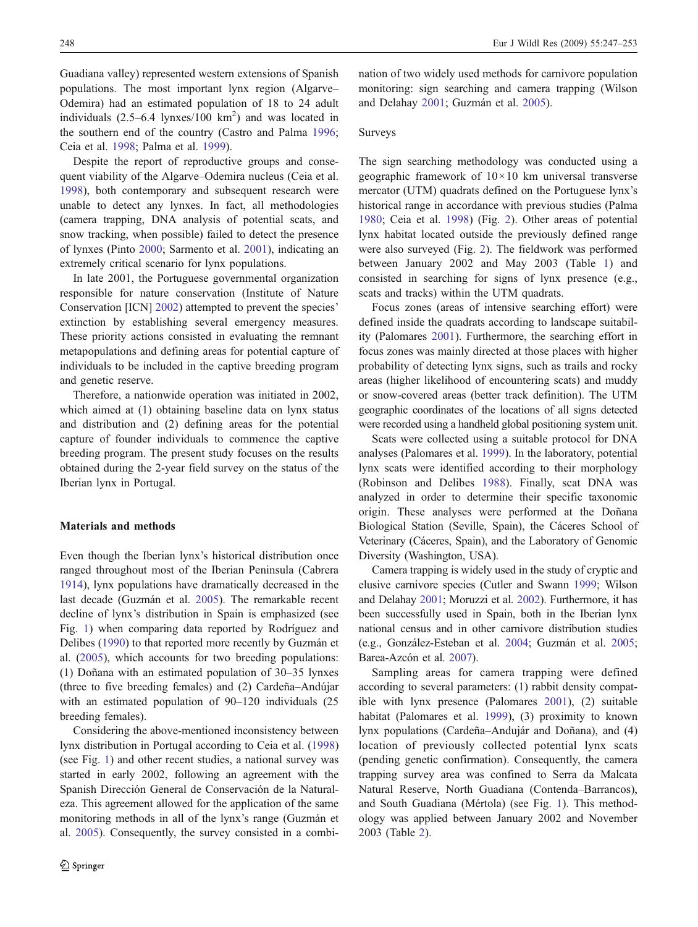Guadiana valley) represented western extensions of Spanish populations. The most important lynx region (Algarve– Odemira) had an estimated population of 18 to 24 adult individuals  $(2.5-6.4 \text{ lynxes}/100 \text{ km}^2)$  and was located in the southern end of the country (Castro and Palma [1996](#page-6-0); Ceia et al. [1998;](#page-6-0) Palma et al. [1999\)](#page-6-0).

Despite the report of reproductive groups and consequent viability of the Algarve–Odemira nucleus (Ceia et al. [1998\)](#page-6-0), both contemporary and subsequent research were unable to detect any lynxes. In fact, all methodologies (camera trapping, DNA analysis of potential scats, and snow tracking, when possible) failed to detect the presence of lynxes (Pinto [2000;](#page-6-0) Sarmento et al. [2001](#page-6-0)), indicating an extremely critical scenario for lynx populations.

In late 2001, the Portuguese governmental organization responsible for nature conservation (Institute of Nature Conservation [ICN] [2002\)](#page-6-0) attempted to prevent the species' extinction by establishing several emergency measures. These priority actions consisted in evaluating the remnant metapopulations and defining areas for potential capture of individuals to be included in the captive breeding program and genetic reserve.

Therefore, a nationwide operation was initiated in 2002, which aimed at (1) obtaining baseline data on lynx status and distribution and (2) defining areas for the potential capture of founder individuals to commence the captive breeding program. The present study focuses on the results obtained during the 2-year field survey on the status of the Iberian lynx in Portugal.

## Materials and methods

Even though the Iberian lynx's historical distribution once ranged throughout most of the Iberian Peninsula (Cabrera [1914\)](#page-6-0), lynx populations have dramatically decreased in the last decade (Guzmán et al. [2005\)](#page-6-0). The remarkable recent decline of lynx's distribution in Spain is emphasized (see Fig. [1](#page-2-0)) when comparing data reported by Rodríguez and Delibes [\(1990\)](#page-6-0) to that reported more recently by Guzmán et al. [\(2005](#page-6-0)), which accounts for two breeding populations: (1) Doñana with an estimated population of 30–35 lynxes (three to five breeding females) and (2) Cardeña–Andújar with an estimated population of 90–120 individuals (25 breeding females).

Considering the above-mentioned inconsistency between lynx distribution in Portugal according to Ceia et al. ([1998\)](#page-6-0) (see Fig. [1\)](#page-2-0) and other recent studies, a national survey was started in early 2002, following an agreement with the Spanish Dirección General de Conservación de la Naturaleza. This agreement allowed for the application of the same monitoring methods in all of the lynx's range (Guzmán et al. [2005](#page-6-0)). Consequently, the survey consisted in a combination of two widely used methods for carnivore population monitoring: sign searching and camera trapping (Wilson and Delahay [2001](#page-6-0); Guzmán et al. [2005](#page-6-0)).

# Surveys

The sign searching methodology was conducted using a geographic framework of  $10 \times 10$  km universal transverse mercator (UTM) quadrats defined on the Portuguese lynx's historical range in accordance with previous studies (Palma [1980](#page-6-0); Ceia et al. [1998\)](#page-6-0) (Fig. [2](#page-3-0)). Other areas of potential lynx habitat located outside the previously defined range were also surveyed (Fig. [2\)](#page-3-0). The fieldwork was performed between January 2002 and May 2003 (Table [1](#page-4-0)) and consisted in searching for signs of lynx presence (e.g., scats and tracks) within the UTM quadrats.

Focus zones (areas of intensive searching effort) were defined inside the quadrats according to landscape suitability (Palomares [2001](#page-6-0)). Furthermore, the searching effort in focus zones was mainly directed at those places with higher probability of detecting lynx signs, such as trails and rocky areas (higher likelihood of encountering scats) and muddy or snow-covered areas (better track definition). The UTM geographic coordinates of the locations of all signs detected were recorded using a handheld global positioning system unit.

Scats were collected using a suitable protocol for DNA analyses (Palomares et al. [1999\)](#page-6-0). In the laboratory, potential lynx scats were identified according to their morphology (Robinson and Delibes [1988\)](#page-6-0). Finally, scat DNA was analyzed in order to determine their specific taxonomic origin. These analyses were performed at the Doñana Biological Station (Seville, Spain), the Cáceres School of Veterinary (Cáceres, Spain), and the Laboratory of Genomic Diversity (Washington, USA).

Camera trapping is widely used in the study of cryptic and elusive carnivore species (Cutler and Swann [1999](#page-6-0); Wilson and Delahay [2001](#page-6-0); Moruzzi et al. [2002\)](#page-6-0). Furthermore, it has been successfully used in Spain, both in the Iberian lynx national census and in other carnivore distribution studies (e.g., González-Esteban et al. [2004;](#page-6-0) Guzmán et al. [2005;](#page-6-0) Barea-Azcón et al. [2007\)](#page-6-0).

Sampling areas for camera trapping were defined according to several parameters: (1) rabbit density compatible with lynx presence (Palomares [2001\)](#page-6-0), (2) suitable habitat (Palomares et al. [1999\)](#page-6-0), (3) proximity to known lynx populations (Cardeña–Andujár and Doñana), and (4) location of previously collected potential lynx scats (pending genetic confirmation). Consequently, the camera trapping survey area was confined to Serra da Malcata Natural Reserve, North Guadiana (Contenda–Barrancos), and South Guadiana (Mértola) (see Fig. [1\)](#page-2-0). This methodology was applied between January 2002 and November 2003 (Table [2\)](#page-4-0).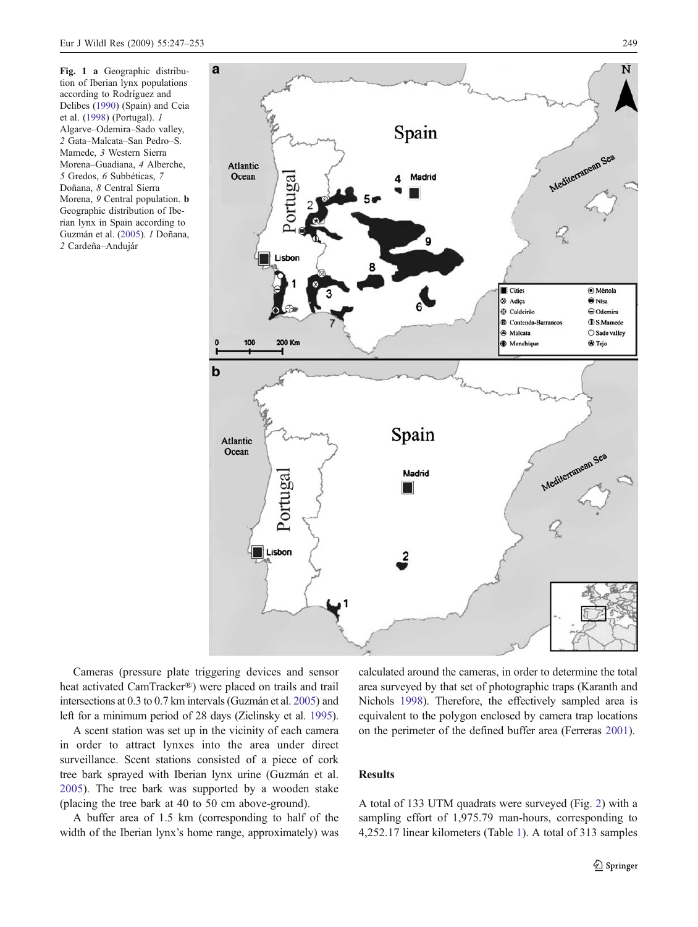<span id="page-2-0"></span>Fig. 1 a Geographic distribution of Iberian lynx populations according to Rodríguez and Delibes ([1990\)](#page-6-0) (Spain) and Ceia et al. [\(1998](#page-6-0)) (Portugal). 1 Algarve–Odemira–Sado valley, 2 Gata–Malcata–San Pedro–S. Mamede, 3 Western Sierra Morena–Guadiana, 4 Alberche, 5 Gredos, 6 Subbéticas, 7 Doñana, 8 Central Sierra Morena, 9 Central population. b Geographic distribution of Iberian lynx in Spain according to Guzmán et al. ([2005\)](#page-6-0). 1 Doñana, 2 Cardeña–Andujár



Cameras (pressure plate triggering devices and sensor heat activated CamTracker®) were placed on trails and trail intersections at 0.3 to 0.7 km intervals (Guzmán et al. [2005\)](#page-6-0) and left for a minimum period of 28 days (Zielinsky et al. [1995\)](#page-6-0).

A scent station was set up in the vicinity of each camera in order to attract lynxes into the area under direct surveillance. Scent stations consisted of a piece of cork tree bark sprayed with Iberian lynx urine (Guzmán et al. [2005\)](#page-6-0). The tree bark was supported by a wooden stake (placing the tree bark at 40 to 50 cm above-ground).

A buffer area of 1.5 km (corresponding to half of the width of the Iberian lynx's home range, approximately) was

calculated around the cameras, in order to determine the total area surveyed by that set of photographic traps (Karanth and Nichols [1998\)](#page-6-0). Therefore, the effectively sampled area is equivalent to the polygon enclosed by camera trap locations on the perimeter of the defined buffer area (Ferreras [2001](#page-6-0)).

# Results

A total of 133 UTM quadrats were surveyed (Fig. [2](#page-3-0)) with a sampling effort of 1,975.79 man-hours, corresponding to 4,252.17 linear kilometers (Table [1\)](#page-4-0). A total of 313 samples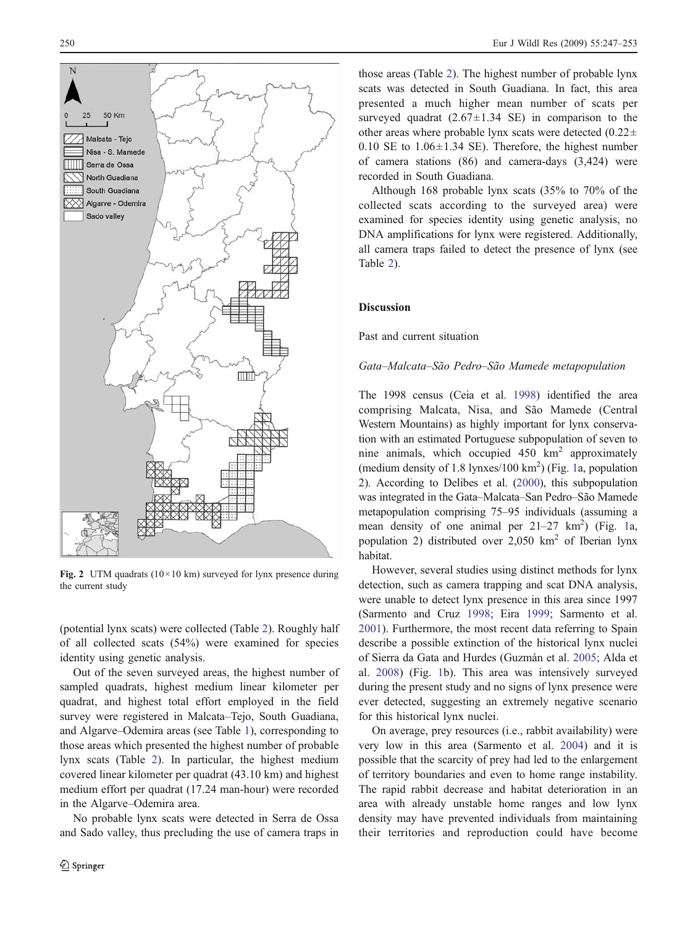<span id="page-3-0"></span>

Fig. 2 UTM quadrats ( $10 \times 10$  km) surveyed for lynx presence during the current study

(potential lynx scats) were collected (Table [2\)](#page-4-0). Roughly half of all collected scats (54%) were examined for species identity using genetic analysis.

Out of the seven surveyed areas, the highest number of sampled quadrats, highest medium linear kilometer per quadrat, and highest total effort employed in the field survey were registered in Malcata–Tejo, South Guadiana, and Algarve–Odemira areas (see Table [1](#page-4-0)), corresponding to those areas which presented the highest number of probable lynx scats (Table [2\)](#page-4-0). In particular, the highest medium covered linear kilometer per quadrat (43.10 km) and highest medium effort per quadrat (17.24 man-hour) were recorded in the Algarve–Odemira area.

No probable lynx scats were detected in Serra de Ossa and Sado valley, thus precluding the use of camera traps in

those areas (Table [2](#page-4-0)). The highest number of probable lynx scats was detected in South Guadiana. In fact, this area presented a much higher mean number of scats per surveyed quadrat  $(2.67 \pm 1.34 \text{ SE})$  in comparison to the other areas where probable lynx scats were detected  $(0.22 \pm$ 0.10 SE to  $1.06 \pm 1.34$  SE). Therefore, the highest number of camera stations (86) and camera-days (3,424) were recorded in South Guadiana.

Although 168 probable lynx scats (35% to 70% of the collected scats according to the surveyed area) were examined for species identity using genetic analysis, no DNA amplifications for lynx were registered. Additionally, all camera traps failed to detect the presence of lynx (see Table [2](#page-4-0)).

## Discussion

Past and current situation

#### Gata–Malcata–São Pedro–São Mamede metapopulation

The 1998 census (Ceia et al. [1998\)](#page-6-0) identified the area comprising Malcata, Nisa, and São Mamede (Central Western Mountains) as highly important for lynx conservation with an estimated Portuguese subpopulation of seven to nine animals, which occupied  $450 \text{ km}^2$  approximately (medium density of [1](#page-2-0).8 lynxes/100 km<sup>2</sup>) (Fig. 1a, population 2). According to Delibes et al. [\(2000\)](#page-6-0), this subpopulation was integrated in the Gata–Malcata–San Pedro–São Mamede metapopulation comprising 75–95 individuals (assuming a mean density of one animal per  $21-27 \text{ km}^2$ ) (Fig. [1a](#page-2-0), population 2) distributed over  $2,050 \text{ km}^2$  of Iberian lynx habitat.

However, several studies using distinct methods for lynx detection, such as camera trapping and scat DNA analysis, were unable to detect lynx presence in this area since 1997 (Sarmento and Cruz [1998;](#page-6-0) Eira [1999](#page-6-0); Sarmento et al. [2001](#page-6-0)). Furthermore, the most recent data referring to Spain describe a possible extinction of the historical lynx nuclei of Sierra da Gata and Hurdes (Guzmán et al. [2005](#page-6-0); Alda et al. [2008\)](#page-6-0) (Fig. [1b](#page-2-0)). This area was intensively surveyed during the present study and no signs of lynx presence were ever detected, suggesting an extremely negative scenario for this historical lynx nuclei.

On average, prey resources (i.e., rabbit availability) were very low in this area (Sarmento et al. [2004](#page-6-0)) and it is possible that the scarcity of prey had led to the enlargement of territory boundaries and even to home range instability. The rapid rabbit decrease and habitat deterioration in an area with already unstable home ranges and low lynx density may have prevented individuals from maintaining their territories and reproduction could have become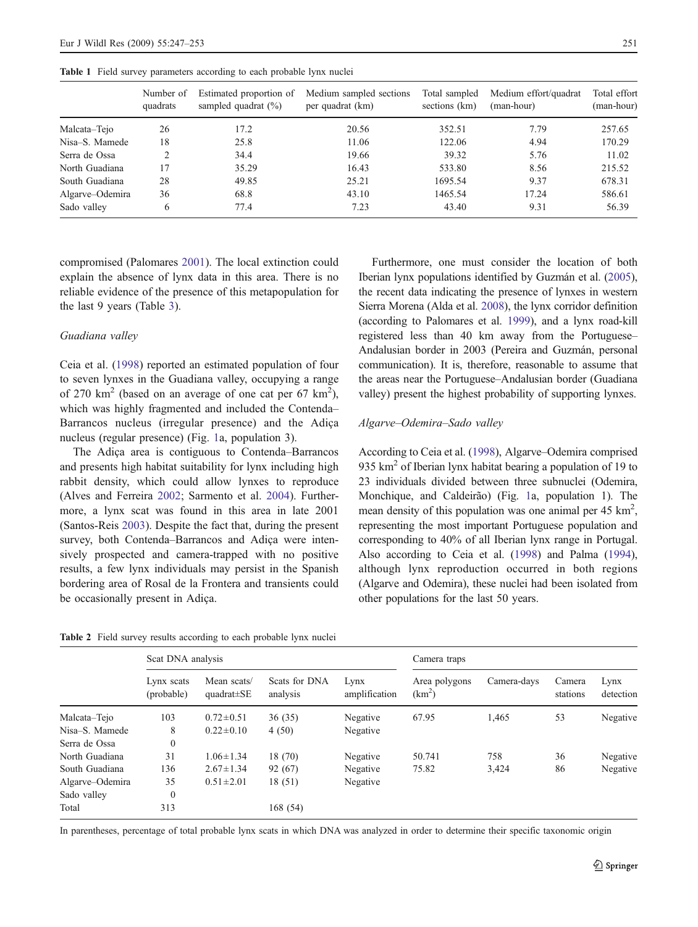|                 | Number of<br>quadrats | Estimated proportion of<br>sampled quadrat $(\% )$ | Medium sampled sections<br>per quadrat (km) | Total sampled<br>sections (km) | Medium effort/quadrat<br>(man-hour) | Total effort<br>(man-hour) |
|-----------------|-----------------------|----------------------------------------------------|---------------------------------------------|--------------------------------|-------------------------------------|----------------------------|
| Malcata-Tejo    | 26                    | 17.2                                               | 20.56                                       | 352.51                         | 7.79                                | 257.65                     |
| Nisa-S. Mamede  | 18                    | 25.8                                               | 11.06                                       | 122.06                         | 4.94                                | 170.29                     |
| Serra de Ossa   |                       | 34.4                                               | 19.66                                       | 39.32                          | 5.76                                | 11.02                      |
| North Guadiana  | 17                    | 35.29                                              | 16.43                                       | 533.80                         | 8.56                                | 215.52                     |
| South Guadiana  | 28                    | 49.85                                              | 25.21                                       | 1695.54                        | 9.37                                | 678.31                     |
| Algarve-Odemira | 36                    | 68.8                                               | 43.10                                       | 1465.54                        | 17.24                               | 586.61                     |
| Sado valley     | 6                     | 77.4                                               | 7.23                                        | 43.40                          | 9.31                                | 56.39                      |

<span id="page-4-0"></span>Table 1 Field survey parameters according to each probable lynx nuclei

compromised (Palomares [2001](#page-6-0)). The local extinction could explain the absence of lynx data in this area. There is no reliable evidence of the presence of this metapopulation for the last 9 years (Table [3\)](#page-5-0).

## Guadiana valley

Ceia et al. ([1998\)](#page-6-0) reported an estimated population of four to seven lynxes in the Guadiana valley, occupying a range of 270  $\text{km}^2$  (based on an average of one cat per 67  $\text{km}^2$ ), which was highly fragmented and included the Contenda– Barrancos nucleus (irregular presence) and the Adiça nucleus (regular presence) (Fig. [1](#page-2-0)a, population 3).

The Adiça area is contiguous to Contenda–Barrancos and presents high habitat suitability for lynx including high rabbit density, which could allow lynxes to reproduce (Alves and Ferreira [2002](#page-6-0); Sarmento et al. [2004](#page-6-0)). Furthermore, a lynx scat was found in this area in late 2001 (Santos-Reis [2003](#page-6-0)). Despite the fact that, during the present survey, both Contenda–Barrancos and Adiça were intensively prospected and camera-trapped with no positive results, a few lynx individuals may persist in the Spanish bordering area of Rosal de la Frontera and transients could be occasionally present in Adiça.

Table 2 Field survey results according to each probable lynx nuclei

Furthermore, one must consider the location of both Iberian lynx populations identified by Guzmán et al. [\(2005\)](#page-6-0), the recent data indicating the presence of lynxes in western Sierra Morena (Alda et al. [2008](#page-6-0)), the lynx corridor definition (according to Palomares et al. [1999\)](#page-6-0), and a lynx road-kill registered less than 40 km away from the Portuguese– Andalusian border in 2003 (Pereira and Guzmán, personal communication). It is, therefore, reasonable to assume that the areas near the Portuguese–Andalusian border (Guadiana valley) present the highest probability of supporting lynxes.

#### Algarve–Odemira–Sado valley

According to Ceia et al. [\(1998\)](#page-6-0), Algarve–Odemira comprised 935  $km<sup>2</sup>$  of Iberian lynx habitat bearing a population of 19 to 23 individuals divided between three subnuclei (Odemira, Monchique, and Caldeirão) (Fig. [1a](#page-2-0), population 1). The mean density of this population was one animal per  $45 \text{ km}^2$ , representing the most important Portuguese population and corresponding to 40% of all Iberian lynx range in Portugal. Also according to Ceia et al. [\(1998\)](#page-6-0) and Palma [\(1994\)](#page-6-0), although lynx reproduction occurred in both regions (Algarve and Odemira), these nuclei had been isolated from other populations for the last 50 years.

|                 | Scat DNA analysis        |                                 |                           |                       | Camera traps                        |             |                    |                   |
|-----------------|--------------------------|---------------------------------|---------------------------|-----------------------|-------------------------------------|-------------|--------------------|-------------------|
|                 | Lynx scats<br>(probable) | Mean scats/<br>$quadrat \pm SE$ | Scats for DNA<br>analysis | Lynx<br>amplification | Area polygons<br>(km <sup>2</sup> ) | Camera-days | Camera<br>stations | Lynx<br>detection |
| Malcata-Tejo    | 103                      | $0.72 \pm 0.51$                 | 36(35)                    | Negative              | 67.95                               | 1,465       | 53                 | Negative          |
| Nisa-S. Mamede  | 8                        | $0.22 \pm 0.10$                 | 4(50)                     | Negative              |                                     |             |                    |                   |
| Serra de Ossa   | $\boldsymbol{0}$         |                                 |                           |                       |                                     |             |                    |                   |
| North Guadiana  | 31                       | $1.06 \pm 1.34$                 | 18 (70)                   | Negative              | 50.741                              | 758         | 36                 | Negative          |
| South Guadiana  | 136                      | $2.67 \pm 1.34$                 | 92 (67)                   | Negative              | 75.82                               | 3,424       | 86                 | Negative          |
| Algarve-Odemira | 35                       | $0.51 \pm 2.01$                 | 18(51)                    | Negative              |                                     |             |                    |                   |
| Sado valley     | $\boldsymbol{0}$         |                                 |                           |                       |                                     |             |                    |                   |
| Total           | 313                      |                                 | 168 (54)                  |                       |                                     |             |                    |                   |

In parentheses, percentage of total probable lynx scats in which DNA was analyzed in order to determine their specific taxonomic origin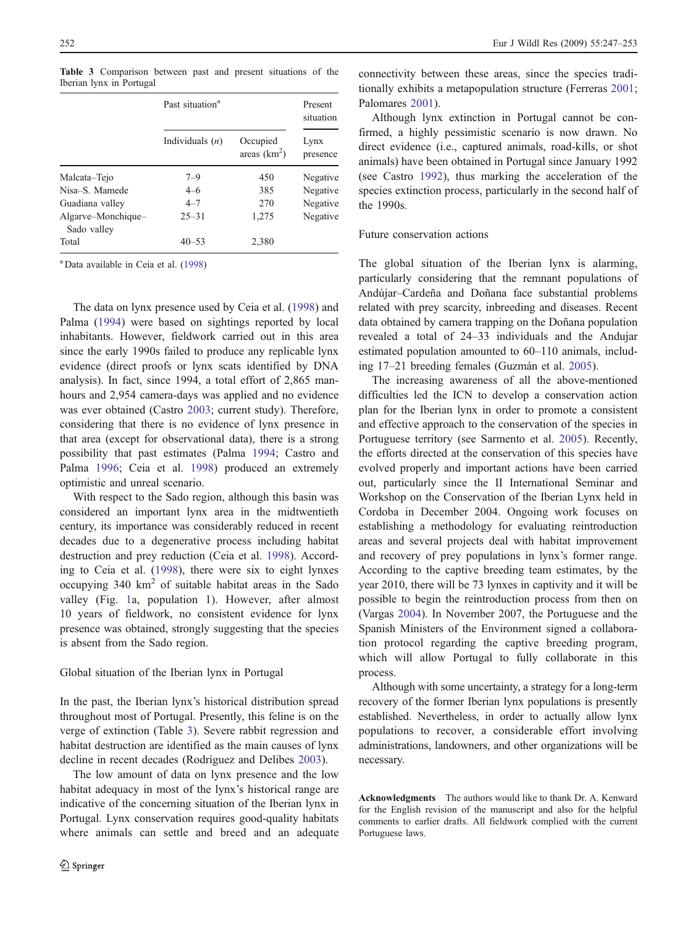|                                   | Past situation <sup>a</sup> | Present<br>situation      |                  |  |
|-----------------------------------|-----------------------------|---------------------------|------------------|--|
|                                   | Individuals $(n)$           | Occupied<br>areas $(km2)$ | Lynx<br>presence |  |
| Malcata–Tejo                      | $7 - 9$                     | 450                       | Negative         |  |
| Nisa-S. Mamede                    | $4 - 6$                     | 385                       | Negative         |  |
| Guadiana valley                   | $4 - 7$                     | 270                       | Negative         |  |
| Algarve-Monchique-<br>Sado valley | $25 - 31$                   | 1,275                     | Negative         |  |
| Total                             | $40 - 53$                   | 2,380                     |                  |  |

<span id="page-5-0"></span>Table 3 Comparison between past and present situations of the Iberian lynx in Portugal

<sup>a</sup> Data available in Ceia et al. ([1998\)](#page-6-0)

The data on lynx presence used by Ceia et al. ([1998\)](#page-6-0) and Palma ([1994\)](#page-6-0) were based on sightings reported by local inhabitants. However, fieldwork carried out in this area since the early 1990s failed to produce any replicable lynx evidence (direct proofs or lynx scats identified by DNA analysis). In fact, since 1994, a total effort of 2,865 manhours and 2,954 camera-days was applied and no evidence was ever obtained (Castro [2003;](#page-6-0) current study). Therefore, considering that there is no evidence of lynx presence in that area (except for observational data), there is a strong possibility that past estimates (Palma [1994](#page-6-0); Castro and Palma [1996;](#page-6-0) Ceia et al. [1998\)](#page-6-0) produced an extremely optimistic and unreal scenario.

With respect to the Sado region, although this basin was considered an important lynx area in the midtwentieth century, its importance was considerably reduced in recent decades due to a degenerative process including habitat destruction and prey reduction (Ceia et al. [1998](#page-6-0)). According to Ceia et al. [\(1998](#page-6-0)), there were six to eight lynxes occupying  $340 \text{ km}^2$  of suitable habitat areas in the Sado valley (Fig. [1a](#page-2-0), population 1). However, after almost 10 years of fieldwork, no consistent evidence for lynx presence was obtained, strongly suggesting that the species is absent from the Sado region.

#### Global situation of the Iberian lynx in Portugal

In the past, the Iberian lynx's historical distribution spread throughout most of Portugal. Presently, this feline is on the verge of extinction (Table 3). Severe rabbit regression and habitat destruction are identified as the main causes of lynx decline in recent decades (Rodríguez and Delibes [2003\)](#page-6-0).

The low amount of data on lynx presence and the low habitat adequacy in most of the lynx's historical range are indicative of the concerning situation of the Iberian lynx in Portugal. Lynx conservation requires good-quality habitats where animals can settle and breed and an adequate

connectivity between these areas, since the species traditionally exhibits a metapopulation structure (Ferreras [2001;](#page-6-0) Palomares [2001](#page-6-0)).

Although lynx extinction in Portugal cannot be confirmed, a highly pessimistic scenario is now drawn. No direct evidence (i.e., captured animals, road-kills, or shot animals) have been obtained in Portugal since January 1992 (see Castro [1992](#page-6-0)), thus marking the acceleration of the species extinction process, particularly in the second half of the 1990s.

#### Future conservation actions

The global situation of the Iberian lynx is alarming, particularly considering that the remnant populations of Andújar–Cardeña and Doñana face substantial problems related with prey scarcity, inbreeding and diseases. Recent data obtained by camera trapping on the Doñana population revealed a total of 24–33 individuals and the Andujar estimated population amounted to 60–110 animals, including 17–21 breeding females (Guzmán et al. [2005](#page-6-0)).

The increasing awareness of all the above-mentioned difficulties led the ICN to develop a conservation action plan for the Iberian lynx in order to promote a consistent and effective approach to the conservation of the species in Portuguese territory (see Sarmento et al. [2005](#page-6-0)). Recently, the efforts directed at the conservation of this species have evolved properly and important actions have been carried out, particularly since the II International Seminar and Workshop on the Conservation of the Iberian Lynx held in Cordoba in December 2004. Ongoing work focuses on establishing a methodology for evaluating reintroduction areas and several projects deal with habitat improvement and recovery of prey populations in lynx's former range. According to the captive breeding team estimates, by the year 2010, there will be 73 lynxes in captivity and it will be possible to begin the reintroduction process from then on (Vargas [2004\)](#page-6-0). In November 2007, the Portuguese and the Spanish Ministers of the Environment signed a collaboration protocol regarding the captive breeding program, which will allow Portugal to fully collaborate in this process.

Although with some uncertainty, a strategy for a long-term recovery of the former Iberian lynx populations is presently established. Nevertheless, in order to actually allow lynx populations to recover, a considerable effort involving administrations, landowners, and other organizations will be necessary.

Acknowledgments The authors would like to thank Dr. A. Kenward for the English revision of the manuscript and also for the helpful comments to earlier drafts. All fieldwork complied with the current Portuguese laws.